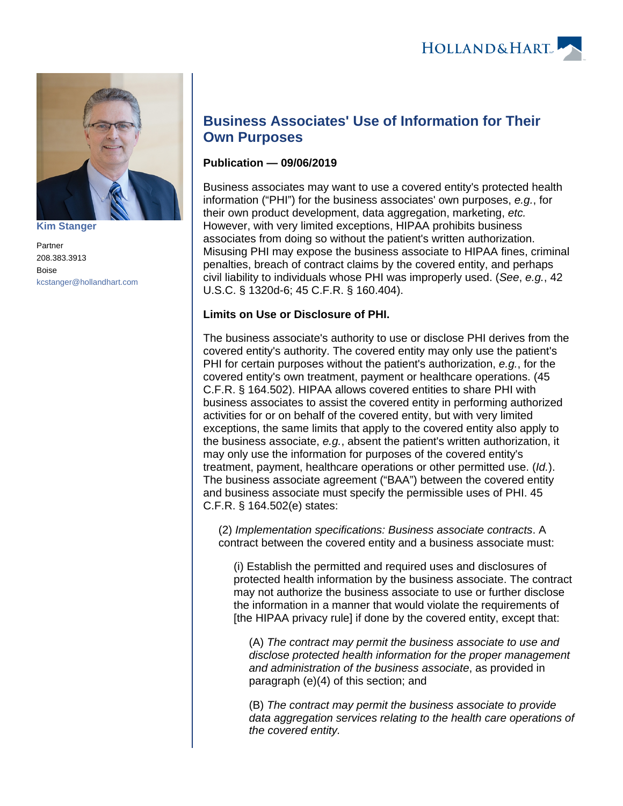

**[Kim Stanger](https://www.hollandhart.com/15954)**

Partner 208.383.3913 Boise [kcstanger@hollandhart.com](mailto:kcstanger@hollandhart.com)

# **Business Associates' Use of Information for Their Own Purposes**

## **Publication — 09/06/2019**

Business associates may want to use a covered entity's protected health information ("PHI") for the business associates' own purposes, e.g., for their own product development, data aggregation, marketing, etc. However, with very limited exceptions, HIPAA prohibits business associates from doing so without the patient's written authorization. Misusing PHI may expose the business associate to HIPAA fines, criminal penalties, breach of contract claims by the covered entity, and perhaps civil liability to individuals whose PHI was improperly used. (See, e.g., 42 U.S.C. § 1320d-6; 45 C.F.R. § 160.404).

## **Limits on Use or Disclosure of PHI.**

The business associate's authority to use or disclose PHI derives from the covered entity's authority. The covered entity may only use the patient's PHI for certain purposes without the patient's authorization, e.g., for the covered entity's own treatment, payment or healthcare operations. (45 C.F.R. § 164.502). HIPAA allows covered entities to share PHI with business associates to assist the covered entity in performing authorized activities for or on behalf of the covered entity, but with very limited exceptions, the same limits that apply to the covered entity also apply to the business associate, e.g., absent the patient's written authorization, it may only use the information for purposes of the covered entity's treatment, payment, healthcare operations or other permitted use. (Id.). The business associate agreement ("BAA") between the covered entity and business associate must specify the permissible uses of PHI. 45 C.F.R. § 164.502(e) states:

(2) Implementation specifications: Business associate contracts. A contract between the covered entity and a business associate must:

(i) Establish the permitted and required uses and disclosures of protected health information by the business associate. The contract may not authorize the business associate to use or further disclose the information in a manner that would violate the requirements of [the HIPAA privacy rule] if done by the covered entity, except that:

(A) The contract may permit the business associate to use and disclose protected health information for the proper management and administration of the business associate, as provided in paragraph (e)(4) of this section; and

(B) The contract may permit the business associate to provide data aggregation services relating to the health care operations of the covered entity.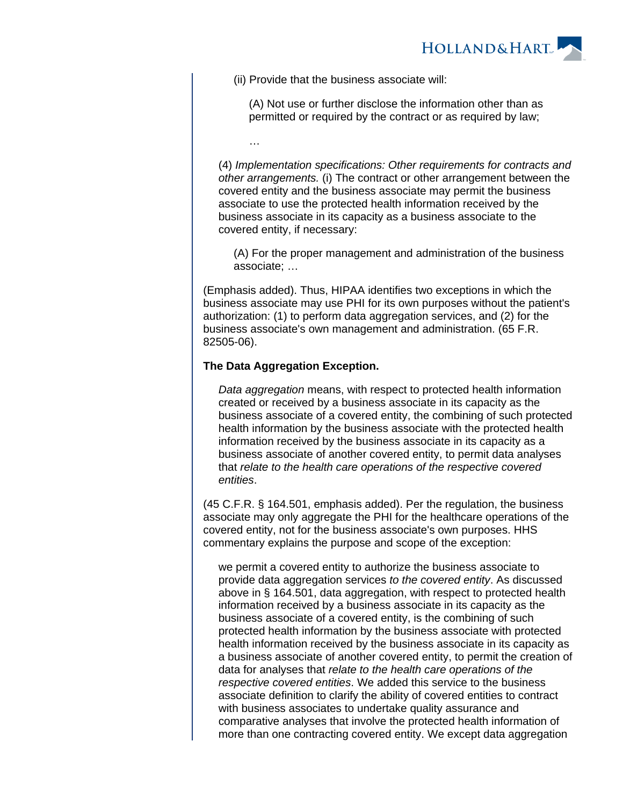

(ii) Provide that the business associate will:

(A) Not use or further disclose the information other than as permitted or required by the contract or as required by law;

(4) Implementation specifications: Other requirements for contracts and other arrangements. (i) The contract or other arrangement between the covered entity and the business associate may permit the business associate to use the protected health information received by the business associate in its capacity as a business associate to the covered entity, if necessary:

(A) For the proper management and administration of the business associate; …

(Emphasis added). Thus, HIPAA identifies two exceptions in which the business associate may use PHI for its own purposes without the patient's authorization: (1) to perform data aggregation services, and (2) for the business associate's own management and administration. (65 F.R. 82505-06).

#### **The Data Aggregation Exception.**

…

Data aggregation means, with respect to protected health information created or received by a business associate in its capacity as the business associate of a covered entity, the combining of such protected health information by the business associate with the protected health information received by the business associate in its capacity as a business associate of another covered entity, to permit data analyses that relate to the health care operations of the respective covered entities.

(45 C.F.R. § 164.501, emphasis added). Per the regulation, the business associate may only aggregate the PHI for the healthcare operations of the covered entity, not for the business associate's own purposes. HHS commentary explains the purpose and scope of the exception:

we permit a covered entity to authorize the business associate to provide data aggregation services to the covered entity. As discussed above in § 164.501, data aggregation, with respect to protected health information received by a business associate in its capacity as the business associate of a covered entity, is the combining of such protected health information by the business associate with protected health information received by the business associate in its capacity as a business associate of another covered entity, to permit the creation of data for analyses that relate to the health care operations of the respective covered entities. We added this service to the business associate definition to clarify the ability of covered entities to contract with business associates to undertake quality assurance and comparative analyses that involve the protected health information of more than one contracting covered entity. We except data aggregation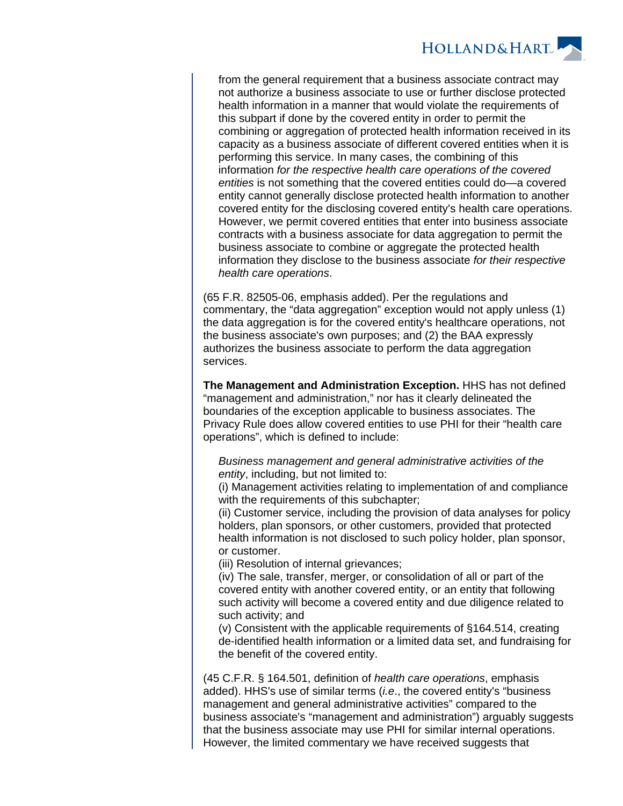

from the general requirement that a business associate contract may not authorize a business associate to use or further disclose protected health information in a manner that would violate the requirements of this subpart if done by the covered entity in order to permit the combining or aggregation of protected health information received in its capacity as a business associate of different covered entities when it is performing this service. In many cases, the combining of this information for the respective health care operations of the covered entities is not something that the covered entities could do—a covered entity cannot generally disclose protected health information to another covered entity for the disclosing covered entity's health care operations. However, we permit covered entities that enter into business associate contracts with a business associate for data aggregation to permit the business associate to combine or aggregate the protected health information they disclose to the business associate for their respective health care operations.

(65 F.R. 82505-06, emphasis added). Per the regulations and commentary, the "data aggregation" exception would not apply unless (1) the data aggregation is for the covered entity's healthcare operations, not the business associate's own purposes; and (2) the BAA expressly authorizes the business associate to perform the data aggregation services.

**The Management and Administration Exception.** HHS has not defined "management and administration," nor has it clearly delineated the boundaries of the exception applicable to business associates. The Privacy Rule does allow covered entities to use PHI for their "health care operations", which is defined to include:

Business management and general administrative activities of the entity, including, but not limited to:

(i) Management activities relating to implementation of and compliance with the requirements of this subchapter;

(ii) Customer service, including the provision of data analyses for policy holders, plan sponsors, or other customers, provided that protected health information is not disclosed to such policy holder, plan sponsor, or customer.

(iii) Resolution of internal grievances;

(iv) The sale, transfer, merger, or consolidation of all or part of the covered entity with another covered entity, or an entity that following such activity will become a covered entity and due diligence related to such activity; and

(v) Consistent with the applicable requirements of §164.514, creating de-identified health information or a limited data set, and fundraising for the benefit of the covered entity.

(45 C.F.R. § 164.501, definition of health care operations, emphasis added). HHS's use of similar terms (*i.e.*, the covered entity's "business management and general administrative activities" compared to the business associate's "management and administration") arguably suggests that the business associate may use PHI for similar internal operations. However, the limited commentary we have received suggests that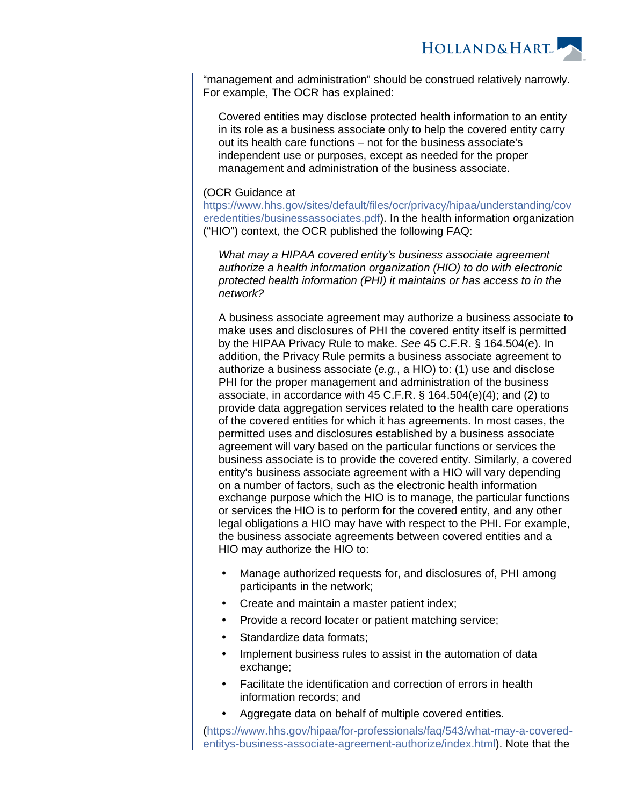

"management and administration" should be construed relatively narrowly. For example, The OCR has explained:

Covered entities may disclose protected health information to an entity in its role as a business associate only to help the covered entity carry out its health care functions – not for the business associate's independent use or purposes, except as needed for the proper management and administration of the business associate.

#### (OCR Guidance at

[https://www.hhs.gov/sites/default/files/ocr/privacy/hipaa/understanding/cov](https://www.hhs.gov/sites/default/files/ocr/privacy/hipaa/understanding/coveredentities/businessassociates.pdf) [eredentities/businessassociates.pdf](https://www.hhs.gov/sites/default/files/ocr/privacy/hipaa/understanding/coveredentities/businessassociates.pdf)). In the health information organization ("HIO") context, the OCR published the following FAQ:

What may a HIPAA covered entity's business associate agreement authorize a health information organization (HIO) to do with electronic protected health information (PHI) it maintains or has access to in the network?

A business associate agreement may authorize a business associate to make uses and disclosures of PHI the covered entity itself is permitted by the HIPAA Privacy Rule to make. See 45 C.F.R. § 164.504(e). In addition, the Privacy Rule permits a business associate agreement to authorize a business associate (e.g., a HIO) to: (1) use and disclose PHI for the proper management and administration of the business associate, in accordance with 45 C.F.R. § 164.504(e)(4); and (2) to provide data aggregation services related to the health care operations of the covered entities for which it has agreements. In most cases, the permitted uses and disclosures established by a business associate agreement will vary based on the particular functions or services the business associate is to provide the covered entity. Similarly, a covered entity's business associate agreement with a HIO will vary depending on a number of factors, such as the electronic health information exchange purpose which the HIO is to manage, the particular functions or services the HIO is to perform for the covered entity, and any other legal obligations a HIO may have with respect to the PHI. For example, the business associate agreements between covered entities and a HIO may authorize the HIO to:

- Manage authorized requests for, and disclosures of, PHI among participants in the network;
- Create and maintain a master patient index;
- Provide a record locater or patient matching service;
- Standardize data formats;
- Implement business rules to assist in the automation of data exchange;
- Facilitate the identification and correction of errors in health information records; and
- Aggregate data on behalf of multiple covered entities.

[\(https://www.hhs.gov/hipaa/for-professionals/faq/543/what-may-a-covered](https://www.hhs.gov/hipaa/for-professionals/faq/543/what-may-a-covered-entitys-business-associate-agreement-authorize/index.html)[entitys-business-associate-agreement-authorize/index.html](https://www.hhs.gov/hipaa/for-professionals/faq/543/what-may-a-covered-entitys-business-associate-agreement-authorize/index.html)). Note that the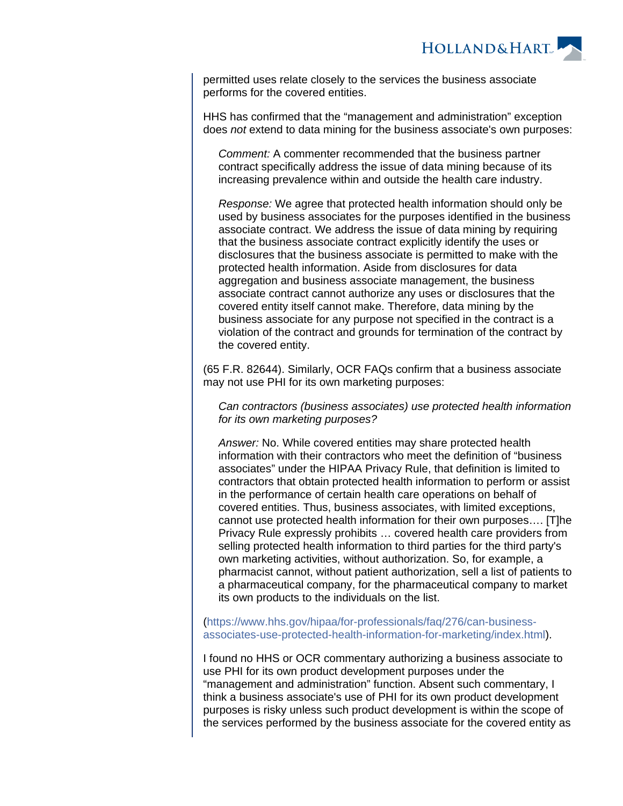

permitted uses relate closely to the services the business associate performs for the covered entities.

HHS has confirmed that the "management and administration" exception does not extend to data mining for the business associate's own purposes:

Comment: A commenter recommended that the business partner contract specifically address the issue of data mining because of its increasing prevalence within and outside the health care industry.

Response: We agree that protected health information should only be used by business associates for the purposes identified in the business associate contract. We address the issue of data mining by requiring that the business associate contract explicitly identify the uses or disclosures that the business associate is permitted to make with the protected health information. Aside from disclosures for data aggregation and business associate management, the business associate contract cannot authorize any uses or disclosures that the covered entity itself cannot make. Therefore, data mining by the business associate for any purpose not specified in the contract is a violation of the contract and grounds for termination of the contract by the covered entity.

(65 F.R. 82644). Similarly, OCR FAQs confirm that a business associate may not use PHI for its own marketing purposes:

Can contractors (business associates) use protected health information for its own marketing purposes?

Answer: No. While covered entities may share protected health information with their contractors who meet the definition of "business associates" under the HIPAA Privacy Rule, that definition is limited to contractors that obtain protected health information to perform or assist in the performance of certain health care operations on behalf of covered entities. Thus, business associates, with limited exceptions, cannot use protected health information for their own purposes…. [T]he Privacy Rule expressly prohibits … covered health care providers from selling protected health information to third parties for the third party's own marketing activities, without authorization. So, for example, a pharmacist cannot, without patient authorization, sell a list of patients to a pharmaceutical company, for the pharmaceutical company to market its own products to the individuals on the list.

[\(https://www.hhs.gov/hipaa/for-professionals/faq/276/can-business](https://www.hhs.gov/hipaa/for-professionals/faq/276/can-business-associates-use-protected-health-information-for-marketing/index.html)[associates-use-protected-health-information-for-marketing/index.html](https://www.hhs.gov/hipaa/for-professionals/faq/276/can-business-associates-use-protected-health-information-for-marketing/index.html)).

I found no HHS or OCR commentary authorizing a business associate to use PHI for its own product development purposes under the "management and administration" function. Absent such commentary, I think a business associate's use of PHI for its own product development purposes is risky unless such product development is within the scope of the services performed by the business associate for the covered entity as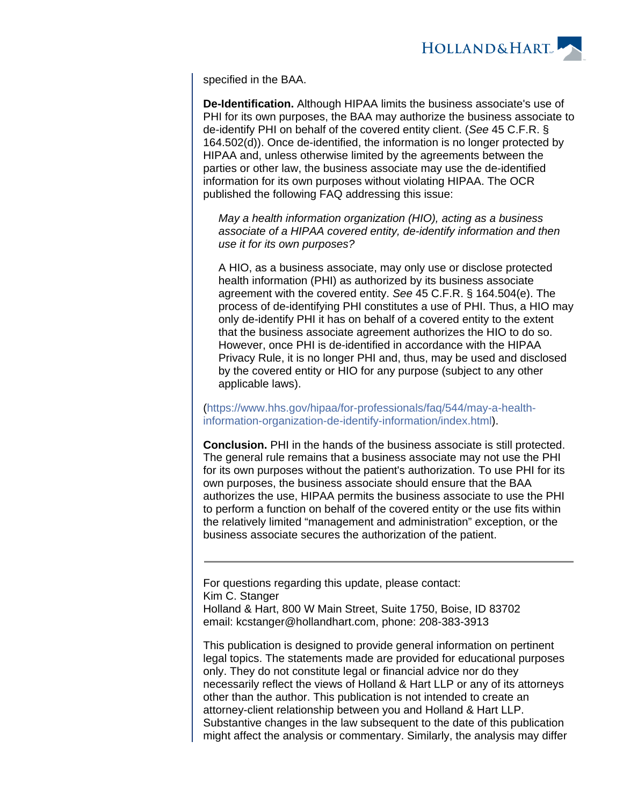

specified in the BAA.

**De-Identification.** Although HIPAA limits the business associate's use of PHI for its own purposes, the BAA may authorize the business associate to de-identify PHI on behalf of the covered entity client. (See 45 C.F.R. § 164.502(d)). Once de-identified, the information is no longer protected by HIPAA and, unless otherwise limited by the agreements between the parties or other law, the business associate may use the de-identified information for its own purposes without violating HIPAA. The OCR published the following FAQ addressing this issue:

May a health information organization (HIO), acting as a business associate of a HIPAA covered entity, de-identify information and then use it for its own purposes?

A HIO, as a business associate, may only use or disclose protected health information (PHI) as authorized by its business associate agreement with the covered entity. See 45 C.F.R. § 164.504(e). The process of de-identifying PHI constitutes a use of PHI. Thus, a HIO may only de-identify PHI it has on behalf of a covered entity to the extent that the business associate agreement authorizes the HIO to do so. However, once PHI is de-identified in accordance with the HIPAA Privacy Rule, it is no longer PHI and, thus, may be used and disclosed by the covered entity or HIO for any purpose (subject to any other applicable laws).

[\(https://www.hhs.gov/hipaa/for-professionals/faq/544/may-a-health](https://www.hhs.gov/hipaa/for-professionals/faq/544/may-a-health-information-organization-de-identify-information/index.html)[information-organization-de-identify-information/index.html](https://www.hhs.gov/hipaa/for-professionals/faq/544/may-a-health-information-organization-de-identify-information/index.html)).

**Conclusion.** PHI in the hands of the business associate is still protected. The general rule remains that a business associate may not use the PHI for its own purposes without the patient's authorization. To use PHI for its own purposes, the business associate should ensure that the BAA authorizes the use, HIPAA permits the business associate to use the PHI to perform a function on behalf of the covered entity or the use fits within the relatively limited "management and administration" exception, or the business associate secures the authorization of the patient.

For questions regarding this update, please contact: Kim C. Stanger Holland & Hart, 800 W Main Street, Suite 1750, Boise, ID 83702 email: kcstanger@hollandhart.com, phone: 208-383-3913

This publication is designed to provide general information on pertinent legal topics. The statements made are provided for educational purposes only. They do not constitute legal or financial advice nor do they necessarily reflect the views of Holland & Hart LLP or any of its attorneys other than the author. This publication is not intended to create an attorney-client relationship between you and Holland & Hart LLP. Substantive changes in the law subsequent to the date of this publication might affect the analysis or commentary. Similarly, the analysis may differ